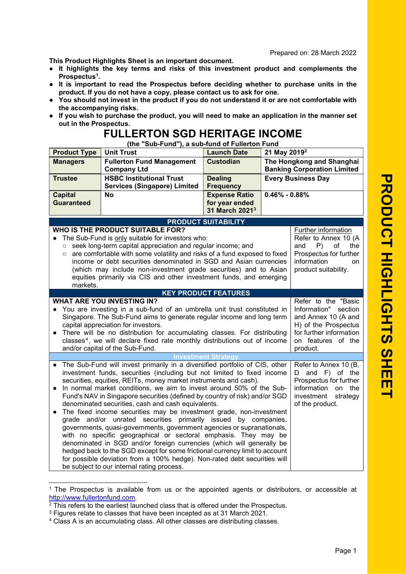This Product Highlights Sheet is an important document.

- It highlights the key terms and risks of this investment product and complements the Prospectus<sup>1</sup>.
- It is important to read the Prospectus before deciding whether to purchase units in the product. If you do not have a copy, please contact us to ask for one.
- You should not invest in the product if you do not understand it or are not comfortable with the accompanying risks.
- If you wish to purchase the product, you will need to make an application in the manner set out in the Prospectus.

## FULLERTON SGD HERITAGE INCOME

(the "Sub-Fund"), a sub-fund of Fullerton Fund

| <b>Product Type</b>                                                                                                                                                                                                                                                                                                                                                                                                                                                                                                                                                                                                                                                                                                                                                                                                                                                                                                                                                                                                                                                                                                                                                                      | <b>Unit Trust</b>                                                      | <b>Launch Date</b>                                                   | 21 May 2019 <sup>2</sup>                                        |  |  |  |
|------------------------------------------------------------------------------------------------------------------------------------------------------------------------------------------------------------------------------------------------------------------------------------------------------------------------------------------------------------------------------------------------------------------------------------------------------------------------------------------------------------------------------------------------------------------------------------------------------------------------------------------------------------------------------------------------------------------------------------------------------------------------------------------------------------------------------------------------------------------------------------------------------------------------------------------------------------------------------------------------------------------------------------------------------------------------------------------------------------------------------------------------------------------------------------------|------------------------------------------------------------------------|----------------------------------------------------------------------|-----------------------------------------------------------------|--|--|--|
| <b>Managers</b>                                                                                                                                                                                                                                                                                                                                                                                                                                                                                                                                                                                                                                                                                                                                                                                                                                                                                                                                                                                                                                                                                                                                                                          | <b>Fullerton Fund Management</b><br><b>Company Ltd</b>                 | <b>Custodian</b>                                                     | The Hongkong and Shanghai<br><b>Banking Corporation Limited</b> |  |  |  |
| <b>Trustee</b>                                                                                                                                                                                                                                                                                                                                                                                                                                                                                                                                                                                                                                                                                                                                                                                                                                                                                                                                                                                                                                                                                                                                                                           | <b>HSBC Institutional Trust</b><br><b>Services (Singapore) Limited</b> | <b>Dealing</b><br><b>Frequency</b>                                   | <b>Every Business Day</b>                                       |  |  |  |
| <b>Capital</b><br><b>Guaranteed</b>                                                                                                                                                                                                                                                                                                                                                                                                                                                                                                                                                                                                                                                                                                                                                                                                                                                                                                                                                                                                                                                                                                                                                      | <b>No</b>                                                              | <b>Expense Ratio</b><br>for year ended<br>31 March 2021 <sup>3</sup> | $0.46\% - 0.88\%$                                               |  |  |  |
|                                                                                                                                                                                                                                                                                                                                                                                                                                                                                                                                                                                                                                                                                                                                                                                                                                                                                                                                                                                                                                                                                                                                                                                          |                                                                        | <b>PRODUCT SUITABILITY</b>                                           |                                                                 |  |  |  |
| WHO IS THE PRODUCT SUITABLE FOR?<br>Further information<br>Refer to Annex 10 (A<br>The Sub-Fund is only suitable for investors who:<br>seek long-term capital appreciation and regular income; and<br>and<br>P)<br>of<br>the<br>$\circ$<br>are comfortable with some volatility and risks of a fund exposed to fixed<br>Prospectus for further<br>$\circ$<br>income or debt securities denominated in SGD and Asian currencies<br>information<br>on<br>(which may include non-investment grade securities) and to Asian<br>product suitability.<br>equities primarily via CIS and other investment funds, and emerging<br>markets.                                                                                                                                                                                                                                                                                                                                                                                                                                                                                                                                                       |                                                                        |                                                                      |                                                                 |  |  |  |
|                                                                                                                                                                                                                                                                                                                                                                                                                                                                                                                                                                                                                                                                                                                                                                                                                                                                                                                                                                                                                                                                                                                                                                                          | <b>KEY PRODUCT FEATURES</b>                                            |                                                                      |                                                                 |  |  |  |
| <b>WHAT ARE YOU INVESTING IN?</b><br>Refer to the "Basic<br>• You are investing in a sub-fund of an umbrella unit trust constituted in<br>Information"<br>section<br>Singapore. The Sub-Fund aims to generate regular income and long term<br>and Annex 10 (A and<br>H) of the Prospectus<br>capital appreciation for investors.<br>There will be no distribution for accumulating classes. For distributing<br>for further information<br>$\bullet$<br>classes <sup>4</sup> , we will declare fixed rate monthly distributions out of income<br>on features of the<br>and/or capital of the Sub-Fund.<br>product.                                                                                                                                                                                                                                                                                                                                                                                                                                                                                                                                                                       |                                                                        |                                                                      |                                                                 |  |  |  |
|                                                                                                                                                                                                                                                                                                                                                                                                                                                                                                                                                                                                                                                                                                                                                                                                                                                                                                                                                                                                                                                                                                                                                                                          |                                                                        | <b>Investment Strategy</b>                                           |                                                                 |  |  |  |
| The Sub-Fund will invest primarily in a diversified portfolio of CIS, other<br>Refer to Annex 10 (B,<br>investment funds, securities (including but not limited to fixed income<br>D and F) of the<br>securities, equities, REITs, money market instruments and cash).<br>Prospectus for further<br>In normal market conditions, we aim to invest around 50% of the Sub-<br>information<br>on<br>the<br>$\bullet$<br>Fund's NAV in Singapore securities (defined by country of risk) and/or SGD<br>investment<br>strategy<br>denominated securities, cash and cash equivalents.<br>of the product.<br>The fixed income securities may be investment grade, non-investment<br>$\bullet$<br>grade and/or unrated securities primarily issued by companies,<br>governments, quasi-governments, government agencies or supranationals,<br>with no specific geographical or sectoral emphasis. They may be<br>denominated in SGD and/or foreign currencies (which will generally be<br>hedged back to the SGD except for some frictional currency limit to account<br>for possible deviation from a 100% hedge). Non-rated debt securities will<br>be subject to our internal rating process. |                                                                        |                                                                      |                                                                 |  |  |  |

<sup>1</sup> The Prospectus is available from us or the appointed agents or distributors, or accessible at http://www.fullertonfund.com.

<sup>&</sup>lt;sup>2</sup> This refers to the earliest launched class that is offered under the Prospectus.

<sup>&</sup>lt;sup>3</sup> Figures relate to classes that have been incepted as at 31 March 2021.

<sup>4</sup> Class A is an accumulating class. All other classes are distributing classes.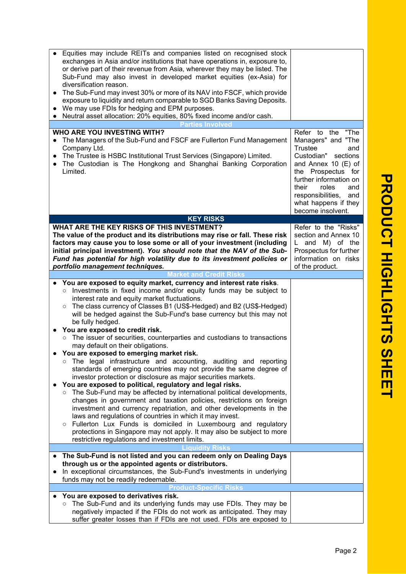| Equities may include REITs and companies listed on recognised stock<br>exchanges in Asia and/or institutions that have operations in, exposure to,<br>or derive part of their revenue from Asia, wherever they may be listed. The<br>Sub-Fund may also invest in developed market equities (ex-Asia) for<br>diversification reason.<br>The Sub-Fund may invest 30% or more of its NAV into FSCF, which provide<br>exposure to liquidity and return comparable to SGD Banks Saving Deposits.<br>We may use FDIs for hedging and EPM purposes.<br>Neutral asset allocation: 20% equities, 80% fixed income and/or cash.<br>$\bullet$                                                                                                                                                                                                                                                                                                                                                                                                                                                                                                                                                                                                                                                                                                                                     |                                                                                                                                                                                                                                                                 |
|------------------------------------------------------------------------------------------------------------------------------------------------------------------------------------------------------------------------------------------------------------------------------------------------------------------------------------------------------------------------------------------------------------------------------------------------------------------------------------------------------------------------------------------------------------------------------------------------------------------------------------------------------------------------------------------------------------------------------------------------------------------------------------------------------------------------------------------------------------------------------------------------------------------------------------------------------------------------------------------------------------------------------------------------------------------------------------------------------------------------------------------------------------------------------------------------------------------------------------------------------------------------------------------------------------------------------------------------------------------------|-----------------------------------------------------------------------------------------------------------------------------------------------------------------------------------------------------------------------------------------------------------------|
| <b>Parties Involved</b>                                                                                                                                                                                                                                                                                                                                                                                                                                                                                                                                                                                                                                                                                                                                                                                                                                                                                                                                                                                                                                                                                                                                                                                                                                                                                                                                                |                                                                                                                                                                                                                                                                 |
| <b>WHO ARE YOU INVESTING WITH?</b><br>The Managers of the Sub-Fund and FSCF are Fullerton Fund Management<br>Company Ltd.<br>The Trustee is HSBC Institutional Trust Services (Singapore) Limited.<br>The Custodian is The Hongkong and Shanghai Banking Corporation<br>Limited.                                                                                                                                                                                                                                                                                                                                                                                                                                                                                                                                                                                                                                                                                                                                                                                                                                                                                                                                                                                                                                                                                       | "The<br>Refer to the<br>Managers" and "The<br>Trustee<br>and<br>Custodian"<br>sections<br>and Annex 10 (E) of<br>the Prospectus for<br>further information on<br>their<br>roles<br>and<br>responsibilities,<br>and<br>what happens if they<br>become insolvent. |
| <b>KEY RISKS</b>                                                                                                                                                                                                                                                                                                                                                                                                                                                                                                                                                                                                                                                                                                                                                                                                                                                                                                                                                                                                                                                                                                                                                                                                                                                                                                                                                       |                                                                                                                                                                                                                                                                 |
| WHAT ARE THE KEY RISKS OF THIS INVESTMENT?<br>The value of the product and its distributions may rise or fall. These risk<br>factors may cause you to lose some or all of your investment (including<br>initial principal investment). You should note that the NAV of the Sub-<br>Fund has potential for high volatility due to its investment policies or<br>portfolio management techniques.                                                                                                                                                                                                                                                                                                                                                                                                                                                                                                                                                                                                                                                                                                                                                                                                                                                                                                                                                                        | Refer to the "Risks"<br>section and Annex 10<br>$L$ and M) of the<br>Prospectus for further<br>information on risks<br>of the product.                                                                                                                          |
| <b>Market and Credit Risks</b>                                                                                                                                                                                                                                                                                                                                                                                                                                                                                                                                                                                                                                                                                                                                                                                                                                                                                                                                                                                                                                                                                                                                                                                                                                                                                                                                         |                                                                                                                                                                                                                                                                 |
| You are exposed to equity market, currency and interest rate risks.<br>Investments in fixed income and/or equity funds may be subject to<br>$\circ$<br>interest rate and equity market fluctuations.<br>The class currency of Classes B1 (US\$-Hedged) and B2 (US\$-Hedged)<br>$\circ$<br>will be hedged against the Sub-Fund's base currency but this may not<br>be fully hedged.<br>You are exposed to credit risk.<br>The issuer of securities, counterparties and custodians to transactions<br>$\circ$<br>may default on their obligations.<br>You are exposed to emerging market risk.<br>The legal infrastructure and accounting, auditing and reporting<br>standards of emerging countries may not provide the same degree of<br>investor protection or disclosure as major securities markets.<br>You are exposed to political, regulatory and legal risks.<br>The Sub-Fund may be affected by international political developments,<br>$\circ$<br>changes in government and taxation policies, restrictions on foreign<br>investment and currency repatriation, and other developments in the<br>laws and regulations of countries in which it may invest.<br>Fullerton Lux Funds is domiciled in Luxembourg and regulatory<br>O<br>protections in Singapore may not apply. It may also be subject to more<br>restrictive regulations and investment limits. |                                                                                                                                                                                                                                                                 |
| The Sub-Fund is not listed and you can redeem only on Dealing Days                                                                                                                                                                                                                                                                                                                                                                                                                                                                                                                                                                                                                                                                                                                                                                                                                                                                                                                                                                                                                                                                                                                                                                                                                                                                                                     |                                                                                                                                                                                                                                                                 |
| through us or the appointed agents or distributors.<br>In exceptional circumstances, the Sub-Fund's investments in underlying<br>funds may not be readily redeemable.                                                                                                                                                                                                                                                                                                                                                                                                                                                                                                                                                                                                                                                                                                                                                                                                                                                                                                                                                                                                                                                                                                                                                                                                  |                                                                                                                                                                                                                                                                 |
| Specific Risks<br>roduct-                                                                                                                                                                                                                                                                                                                                                                                                                                                                                                                                                                                                                                                                                                                                                                                                                                                                                                                                                                                                                                                                                                                                                                                                                                                                                                                                              |                                                                                                                                                                                                                                                                 |
| You are exposed to derivatives risk.                                                                                                                                                                                                                                                                                                                                                                                                                                                                                                                                                                                                                                                                                                                                                                                                                                                                                                                                                                                                                                                                                                                                                                                                                                                                                                                                   |                                                                                                                                                                                                                                                                 |
| The Sub-Fund and its underlying funds may use FDIs. They may be<br>$\circ$<br>negatively impacted if the FDIs do not work as anticipated. They may<br>suffer greater losses than if FDIs are not used. FDIs are exposed to                                                                                                                                                                                                                                                                                                                                                                                                                                                                                                                                                                                                                                                                                                                                                                                                                                                                                                                                                                                                                                                                                                                                             |                                                                                                                                                                                                                                                                 |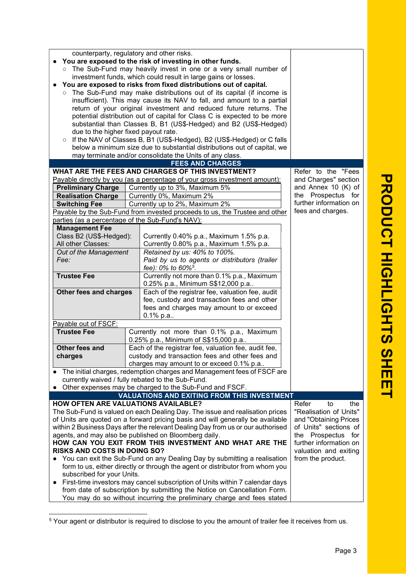|                                                                                                                                                                | counterparty, regulatory and other risks.<br>You are exposed to the risk of investing in other funds.                             |                                                                            |                                                                                                                                                  |                        |  |
|----------------------------------------------------------------------------------------------------------------------------------------------------------------|-----------------------------------------------------------------------------------------------------------------------------------|----------------------------------------------------------------------------|--------------------------------------------------------------------------------------------------------------------------------------------------|------------------------|--|
|                                                                                                                                                                |                                                                                                                                   |                                                                            |                                                                                                                                                  |                        |  |
|                                                                                                                                                                | o The Sub-Fund may heavily invest in one or a very small number of                                                                |                                                                            |                                                                                                                                                  |                        |  |
|                                                                                                                                                                |                                                                                                                                   | investment funds, which could result in large gains or losses.             | You are exposed to risks from fixed distributions out of capital.                                                                                |                        |  |
|                                                                                                                                                                |                                                                                                                                   |                                                                            |                                                                                                                                                  |                        |  |
|                                                                                                                                                                |                                                                                                                                   |                                                                            | o The Sub-Fund may make distributions out of its capital (if income is<br>insufficient). This may cause its NAV to fall, and amount to a partial |                        |  |
|                                                                                                                                                                |                                                                                                                                   |                                                                            | return of your original investment and reduced future returns. The                                                                               |                        |  |
|                                                                                                                                                                |                                                                                                                                   |                                                                            | potential distribution out of capital for Class C is expected to be more                                                                         |                        |  |
|                                                                                                                                                                |                                                                                                                                   |                                                                            | substantial than Classes B, B1 (US\$-Hedged) and B2 (US\$-Hedged)                                                                                |                        |  |
|                                                                                                                                                                | due to the higher fixed payout rate.                                                                                              |                                                                            |                                                                                                                                                  |                        |  |
|                                                                                                                                                                | If the NAV of Classes B, B1 (US\$-Hedged), B2 (US\$-Hedged) or C falls<br>$\circ$                                                 |                                                                            |                                                                                                                                                  |                        |  |
|                                                                                                                                                                |                                                                                                                                   |                                                                            | below a minimum size due to substantial distributions out of capital, we                                                                         |                        |  |
|                                                                                                                                                                | may terminate and/or consolidate the Units of any class.                                                                          |                                                                            |                                                                                                                                                  |                        |  |
|                                                                                                                                                                |                                                                                                                                   |                                                                            | <b>FEES AND CHARGES</b>                                                                                                                          |                        |  |
|                                                                                                                                                                | WHAT ARE THE FEES AND CHARGES OF THIS INVESTMENT?                                                                                 |                                                                            |                                                                                                                                                  | Refer to the "Fees     |  |
|                                                                                                                                                                |                                                                                                                                   | Payable directly by you (as a percentage of your gross investment amount): | and Charges" section                                                                                                                             |                        |  |
|                                                                                                                                                                | <b>Preliminary Charge</b>                                                                                                         | Currently up to 3%, Maximum 5%                                             |                                                                                                                                                  | and Annex 10 (K) of    |  |
|                                                                                                                                                                | <b>Realisation Charge</b>                                                                                                         | Currently 0%, Maximum 2%                                                   |                                                                                                                                                  | the Prospectus for     |  |
| Currently up to 2%, Maximum 2%<br><b>Switching Fee</b>                                                                                                         |                                                                                                                                   |                                                                            |                                                                                                                                                  | further information on |  |
|                                                                                                                                                                |                                                                                                                                   |                                                                            | Payable by the Sub-Fund from invested proceeds to us, the Trustee and other                                                                      | fees and charges.      |  |
|                                                                                                                                                                | parties (as a percentage of the Sub-Fund's NAV):                                                                                  |                                                                            |                                                                                                                                                  |                        |  |
|                                                                                                                                                                | <b>Management Fee</b>                                                                                                             |                                                                            |                                                                                                                                                  |                        |  |
|                                                                                                                                                                | Class B2 (US\$-Hedged):                                                                                                           |                                                                            | Currently 0.40% p.a., Maximum 1.5% p.a.<br>Currently 0.80% p.a., Maximum 1.5% p.a.                                                               |                        |  |
| All other Classes:<br>Out of the Management                                                                                                                    |                                                                                                                                   | Retained by us: 40% to 100%.                                               |                                                                                                                                                  |                        |  |
|                                                                                                                                                                | Fee:                                                                                                                              |                                                                            | Paid by us to agents or distributors (trailer                                                                                                    |                        |  |
|                                                                                                                                                                |                                                                                                                                   | fee): 0% to 60% <sup>5</sup> .                                             |                                                                                                                                                  |                        |  |
|                                                                                                                                                                | <b>Trustee Fee</b>                                                                                                                |                                                                            | Currently not more than 0.1% p.a., Maximum                                                                                                       |                        |  |
|                                                                                                                                                                |                                                                                                                                   |                                                                            | 0.25% p.a., Minimum S\$12,000 p.a                                                                                                                |                        |  |
|                                                                                                                                                                | Other fees and charges                                                                                                            |                                                                            | Each of the registrar fee, valuation fee, audit                                                                                                  |                        |  |
|                                                                                                                                                                |                                                                                                                                   |                                                                            | fee, custody and transaction fees and other                                                                                                      |                        |  |
|                                                                                                                                                                |                                                                                                                                   |                                                                            | fees and charges may amount to or exceed                                                                                                         |                        |  |
|                                                                                                                                                                |                                                                                                                                   | $0.1\%$ p.a                                                                |                                                                                                                                                  |                        |  |
|                                                                                                                                                                | Payable out of FSCF:                                                                                                              |                                                                            |                                                                                                                                                  |                        |  |
|                                                                                                                                                                | <b>Trustee Fee</b>                                                                                                                |                                                                            | Currently not more than 0.1% p.a., Maximum                                                                                                       |                        |  |
|                                                                                                                                                                |                                                                                                                                   | 0.25% p.a., Minimum of S\$15,000 p.a                                       |                                                                                                                                                  |                        |  |
|                                                                                                                                                                | Other fees and                                                                                                                    |                                                                            | Each of the registrar fee, valuation fee, audit fee,                                                                                             |                        |  |
|                                                                                                                                                                | charges                                                                                                                           |                                                                            | custody and transaction fees and other fees and                                                                                                  |                        |  |
|                                                                                                                                                                |                                                                                                                                   |                                                                            | charges may amount to or exceed 0.1% p.a                                                                                                         |                        |  |
|                                                                                                                                                                |                                                                                                                                   |                                                                            | The initial charges, redemption charges and Management fees of FSCF are                                                                          |                        |  |
|                                                                                                                                                                | Other expenses may be charged to the Sub-Fund and FSCF.                                                                           | currently waived / fully rebated to the Sub-Fund.                          |                                                                                                                                                  |                        |  |
|                                                                                                                                                                |                                                                                                                                   |                                                                            | <b>VALUATIONS AND EXITING FROM THIS INVESTMENT</b>                                                                                               |                        |  |
|                                                                                                                                                                | <b>HOW OFTEN ARE VALUATIONS AVAILABLE?</b>                                                                                        |                                                                            |                                                                                                                                                  | Refer<br>to<br>the     |  |
|                                                                                                                                                                |                                                                                                                                   |                                                                            |                                                                                                                                                  | "Realisation of Units" |  |
| The Sub-Fund is valued on each Dealing Day. The issue and realisation prices<br>of Units are quoted on a forward pricing basis and will generally be available |                                                                                                                                   |                                                                            |                                                                                                                                                  |                        |  |
|                                                                                                                                                                | and "Obtaining Prices<br>within 2 Business Days after the relevant Dealing Day from us or our authorised<br>of Units" sections of |                                                                            |                                                                                                                                                  |                        |  |
|                                                                                                                                                                | agents, and may also be published on Bloomberg daily.<br>the Prospectus for                                                       |                                                                            |                                                                                                                                                  |                        |  |
|                                                                                                                                                                | HOW CAN YOU EXIT FROM THIS INVESTMENT AND WHAT ARE THE                                                                            | further information on                                                     |                                                                                                                                                  |                        |  |
|                                                                                                                                                                | <b>RISKS AND COSTS IN DOING SO?</b><br>valuation and exiting                                                                      |                                                                            |                                                                                                                                                  |                        |  |
|                                                                                                                                                                | You can exit the Sub-Fund on any Dealing Day by submitting a realisation<br>from the product.                                     |                                                                            |                                                                                                                                                  |                        |  |
|                                                                                                                                                                | form to us, either directly or through the agent or distributor from whom you                                                     |                                                                            |                                                                                                                                                  |                        |  |
|                                                                                                                                                                | subscribed for your Units.                                                                                                        |                                                                            |                                                                                                                                                  |                        |  |
|                                                                                                                                                                | First-time investors may cancel subscription of Units within 7 calendar days                                                      |                                                                            |                                                                                                                                                  |                        |  |
|                                                                                                                                                                | from date of subscription by submitting the Notice on Cancellation Form.                                                          |                                                                            |                                                                                                                                                  |                        |  |

You may do so without incurring the preliminary charge and fees stated

<sup>&</sup>lt;sup>5</sup> Your agent or distributor is required to disclose to you the amount of trailer fee it receives from us.